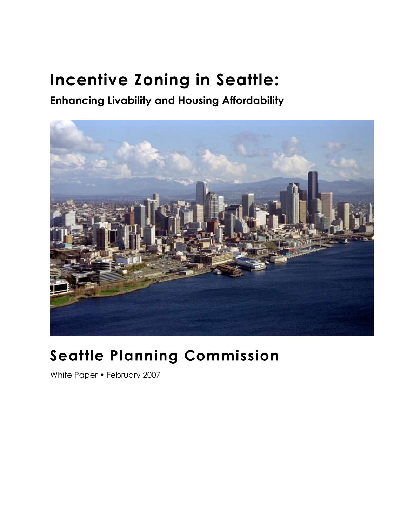# **Incentive Zoning in Seattle:**

**Enhancing Livability and Housing Affordability** 



## **Seattle Planning Commission**

White Paper • February 2007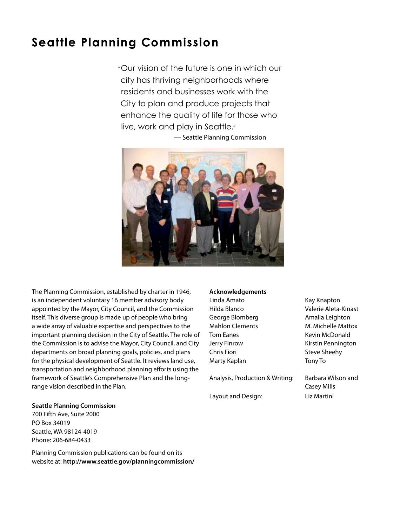## **Seattle Planning Commission**

"Our vision of the future is one in which our city has thriving neighborhoods where residents and businesses work with the City to plan and produce projects that enhance the quality of life for those who live, work and play in Seattle."





The Planning Commission, established by charter in 1946, is an independent voluntary 16 member advisory body appointed by the Mayor, City Council, and the Commission itself. This diverse group is made up of people who bring a wide array of valuable expertise and perspectives to the important planning decision in the City of Seattle. The role of the Commission is to advise the Mayor, City Council, and City departments on broad planning goals, policies, and plans for the physical development of Seattle. It reviews land use, transportation and neighborhood planning efforts using the framework of Seattle's Comprehensive Plan and the longrange vision described in the Plan.

#### **Seattle Planning Commission**

700 Fifth Ave, Suite 2000 PO Box 34019 Seattle, WA 98124-4019 Phone: 206-684-0433

Planning Commission publications can be found on its website at: **http://www.seattle.gov/planningcommission/**

#### **Acknowledgements**

Linda Amato **Kay Knapton** George Blomberg **Amalia Leighton** Tom Eanes **Kevin McDonald** Chris Fiori **Steve Sheehy** Marty Kaplan Tony To

Analysis, Production & Writing: Barbara Wilson and

Layout and Design: Liz Martini

Hilda Blanco Valerie Aleta-Kinast Mahlon Clements M. Michelle Mattox Jerry Finrow **Kirstin Pennington** 

Casey Mills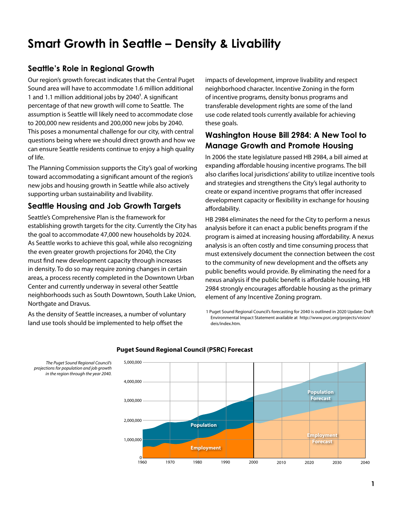## **Smart Growth in Seattle – Density & Livability**

#### **Seattle's Role in Regional Growth**

Our region's growth forecast indicates that the Central Puget Sound area will have to accommodate 1.6 million additional 1 and 1.1 million additional jobs by  $2040^1$ . A significant percentage of that new growth will come to Seattle. The assumption is Seattle will likely need to accommodate close to 200,000 new residents and 200,000 new jobs by 2040. This poses a monumental challenge for our city, with central questions being where we should direct growth and how we can ensure Seattle residents continue to enjoy a high quality of life.

The Planning Commission supports the City's goal of working toward accommodating a significant amount of the region's new jobs and housing growth in Seattle while also actively supporting urban sustainability and livability.

#### **Seattle Housing and Job Growth Targets**

Seattle's Comprehensive Plan is the framework for establishing growth targets for the city. Currently the City has the goal to accommodate 47,000 new households by 2024. As Seattle works to achieve this goal, while also recognizing the even greater growth projections for 2040, the City must find new development capacity through increases in density. To do so may require zoning changes in certain areas, a process recently completed in the Downtown Urban Center and currently underway in several other Seattle neighborhoods such as South Downtown, South Lake Union, Northgate and Dravus.

As the density of Seattle increases, a number of voluntary land use tools should be implemented to help offset the

impacts of development, improve livability and respect neighborhood character. Incentive Zoning in the form of incentive programs, density bonus programs and transferable development rights are some of the land use code related tools currently available for achieving these goals.

#### **Washington House Bill 2984: A New Tool to Manage Growth and Promote Housing**

In 2006 the state legislature passed HB 2984, a bill aimed at expanding affordable housing incentive programs. The bill also clarifies local jurisdictions' ability to utilize incentive tools and strategies and strengthens the City's legal authority to create or expand incentive programs that offer increased development capacity or flexibility in exchange for housing affordability.

HB 2984 eliminates the need for the City to perform a nexus analysis before it can enact a public benefits program if the program is aimed at increasing housing affordability. A nexus analysis is an often costly and time consuming process that must extensively document the connection between the cost to the community of new development and the offsets any public benefits would provide. By eliminating the need for a nexus analysis if the public benefit is affordable housing, HB 2984 strongly encourages affordable housing as the primary element of any Incentive Zoning program.

1 Puget Sound Regional Council's forecasting for 2040 is outlined in 2020 Update: Draft Environmental Impact Statement available at [http://www.psrc.org/projects/vision/](http://www.psrc.org/projects/vision/deis/index.htm) [deis/index.htm.](http://www.psrc.org/projects/vision/deis/index.htm)



#### **Puget Sound Regional Council (PSRC) Forecast**

*The Puget Sound Regional Council's projections for population and job growth in the region through the year 2040.*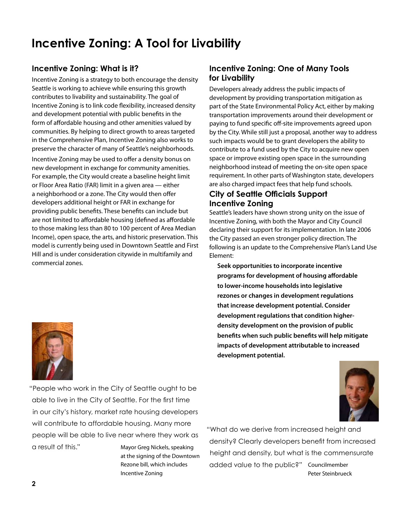## **Incentive Zoning: A Tool for Livability**

#### **Incentive Zoning: What is it?**

Incentive Zoning is a strategy to both encourage the density Seattle is working to achieve while ensuring this growth contributes to livability and sustainability. The goal of Incentive Zoning is to link code flexibility, increased density and development potential with public benefits in the form of affordable housing and other amenities valued by communities. By helping to direct growth to areas targeted in the Comprehensive Plan, Incentive Zoning also works to preserve the character of many of Seattle's neighborhoods.

Incentive Zoning may be used to offer a density bonus on new development in exchange for community amenities. For example, the City would create a baseline height limit or Floor Area Ratio (FAR) limit in a given area — either a neighborhood or a zone. The City would then offer developers additional height or FAR in exchange for providing public benefits. These benefits can include but are not limited to affordable housing (defined as affordable to those making less than 80 to 100 percent of Area Median Income), open space, the arts, and historic preservation. This model is currently being used in Downtown Seattle and First Hill and is under consideration citywide in multifamily and commercial zones.

#### **Incentive Zoning: One of Many Tools for Livability**

Developers already address the public impacts of development by providing transportation mitigation as part of the State Environmental Policy Act, either by making transportation improvements around their development or paying to fund specific off-site improvements agreed upon by the City. While still just a proposal, another way to address such impacts would be to grant developers the ability to contribute to a fund used by the City to acquire new open space or improve existing open space in the surrounding neighborhood instead of meeting the on-site open space requirement. In other parts of Washington state, developers are also charged impact fees that help fund schools.

#### **City of Seattle Officials Support Incentive Zoning**

Seattle's leaders have shown strong unity on the issue of Incentive Zoning, with both the Mayor and City Council declaring their support for its implementation. In late 2006 the City passed an even stronger policy direction. The following is an update to the Comprehensive Plan's Land Use Element:

**Seek opportunities to incorporate incentive programs for development of housing affordable to lower-income households into legislative rezones or changes in development regulations that increase development potential. Consider development regulations that condition higherdensity development on the provision of public benefits when such public benefits will help mitigate impacts of development attributable to increased development potential.**



"People who work in the City of Seattle ought to be able to live in the City of Seattle. For the first time in our city's history, market rate housing developers will contribute to affordable housing. Many more people will be able to live near where they work as a result of this." Mayor Greg Nickels, speaking

at the signing of the Downtown Rezone bill, which includes Incentive Zoning

"What do we derive from increased height and density? Clearly developers benefit from increased height and density, but what is the commensurate added value to the public?" Councilmember Peter Steinbrueck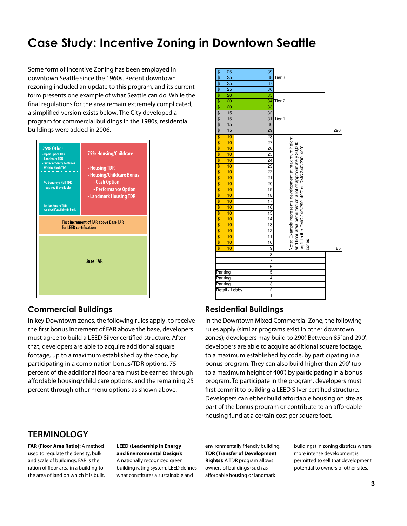## **Case Study: Incentive Zoning in Downtown Seattle**

a simplified version exists below. The City developed a program for commercial buildings in the 1980s; residential **1 1 1 2006** buildings were added in 2006<mark>.</mark> Some form of Incentive Zoning has been employed in downtown Seattle since the 1960s. Recent downtown rezoning included an update to this program, and its current form presents one example of what Seattle can do. While the final regulations for the area remain extremely complicated,



#### **Commercial Buildings**

the first bonus increment of FAR above the base, developers **Tier 2: Floors 33-35** that, developers are able to acquire additional square participating in a combination bonus/TDR options. 75 percent of the additional floor area must be earned through to In key Downtown zones, the following rules apply: to receive **In the Downt**c must agree to build a LEED Silver certified structure. After **heim** zo footage, up to a maximum established by the code, by **the conden** affordable housing/child care options, and the remaining 25 percent through other menu options as shown above.

#### \$ 25 39 25 38 Tier 3  $$ 25$  37 \$ 25 36  $$ 20$  35 20 34 Tier 2  $$ 20$  33 \$ 15 32 15 31 Tier 1 \$ 15 30  $$ 15$  29 29 290  $\frac{10}{28}$  28 Note: Example represents development at maximum height Example represents development at maximum height and floor area permitted on a lot of approximately 20,000  $$ 10$  27 sq.ft. in the DMC 240'/290'-400' or DMC 340'/290'-400'  $$ 10$  26  $\frac{10}{25}$  10 25  $$ 10$  24 10 23  $\frac{10}{22}$  22  $$ 10$  21 **10** 20  $$ 10$  19  $\frac{10}{18}$  18  $$ 10$  17  $$ 10$  16  $$ 10$  15  $$ 10$  14  $$ 10$  13  $$ 10$  12  $$ 10$  11 zones.  $$ 10$  10 \$ 10 9 85' 8 7 6 Parking 5 Parking 4 Parking 3 Retail / Lobby 2 1

#### **Residential Buildings**

In the Downtown Mixed Commercial Zone, the following zones); developers may build to 290'. Between 85′ and 290', the a manufacture and sensitive and your property parametering and the bonus program. They can also build higher than 290' (up program. To participate in the program, developers must **Total Bonus Charge: \$ 1,995,200** first commit to building a LEED Silver certified structure. Developers can either build affordable housing on site as rules apply (similar programs exist in other downtown developers are able to acquire additional square footage, to a maximum established by code, by participating in a to a maximum height of 400') by participating in a bonus part of the bonus program or contribute to an affordable housing fund at a certain cost per square foot.

#### **TERMINOLOGY**

**FAR (Floor Area Ratio):** A method used to regulate the density, bulk and scale of buildings, FAR is the ration of floor area in a building to the area of land on which it is built. **LEED (Leadership in Energy and Environmental Design):**  A nationally recognized green building rating system, LEED defines what constitutes a sustainable and

environmentally friendly building. **TDR (Transfer of Development Rights):** A TDR program allows owners of buildings (such as affordable housing or landmark

buildings) in zoning districts where more intense development is permitted to sell that development potential to owners of other sites.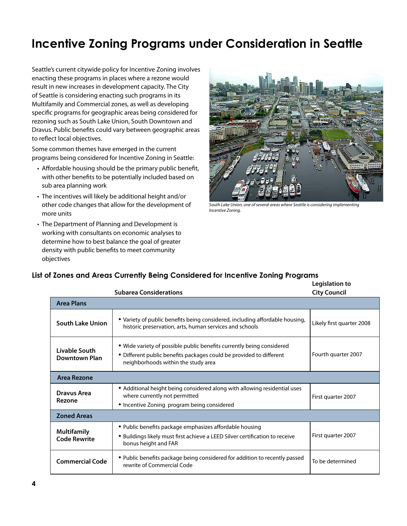## **Incentive Zoning Programs under Consideration in Seattle**

Seattle's current citywide policy for Incentive Zoning involves enacting these programs in places where a rezone would result in new increases in development capacity. The City of Seattle is considering enacting such programs in its Multifamily and Commercial zones, as well as developing specific programs for geographic areas being considered for rezoning such as South Lake Union, South Downtown and Dravus. Public benefits could vary between geographic areas to reflect local objectives.

Some common themes have emerged in the current programs being considered for Incentive Zoning in Seattle:

- Affordable housing should be the primary public benefit, with other benefits to be potentially included based on sub area planning work
- The incentives will likely be additional height and/or other code changes that allow for the development of more units
- The Department of Planning and Development is working with consultants on economic analyses to determine how to best balance the goal of greater density with public benefits to meet community objectives



*South Lake Union, one of several areas where Seattle is considering implementing Incentive Zoning.* 

#### **Legislation to List of Zones and Areas Currently Being Considered for Incentive Zoning Programs**

|                                           | <b>Subarea Considerations</b>                                                                                                                                                       | -----------<br><b>City Council</b> |
|-------------------------------------------|-------------------------------------------------------------------------------------------------------------------------------------------------------------------------------------|------------------------------------|
| <b>Area Plans</b>                         |                                                                                                                                                                                     |                                    |
| <b>South Lake Union</b>                   | • Variety of public benefits being considered, including affordable housing,<br>historic preservation, arts, human services and schools                                             | Likely first quarter 2008          |
| Livable South<br><b>Downtown Plan</b>     | • Wide variety of possible public benefits currently being considered<br>• Different public benefits packages could be provided to different<br>neighborhoods within the study area | Fourth quarter 2007                |
| Area Rezone                               |                                                                                                                                                                                     |                                    |
| Dravus Area<br>Rezone                     | • Additional height being considered along with allowing residential uses<br>where currently not permitted                                                                          | First quarter 2007                 |
|                                           | • Incentive Zoning program being considered                                                                                                                                         |                                    |
| <b>Zoned Areas</b>                        |                                                                                                                                                                                     |                                    |
| <b>Multifamily</b><br><b>Code Rewrite</b> | • Public benefits package emphasizes affordable housing<br>· Buildings likely must first achieve a LEED Silver certification to receive<br>bonus height and FAR                     | First quarter 2007                 |
| <b>Commercial Code</b>                    | • Public benefits package being considered for addition to recently passed<br>rewrite of Commercial Code                                                                            | To be determined                   |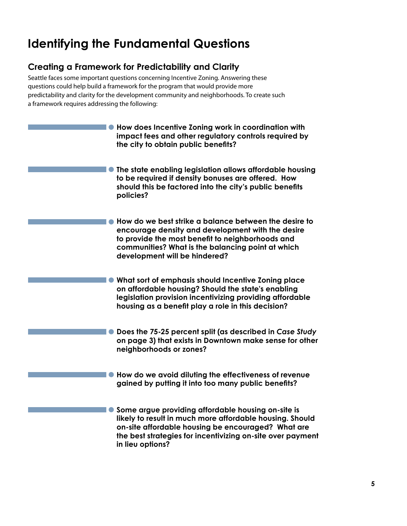## **Identifying the Fundamental Questions**

#### **Creating a Framework for Predictability and Clarity**

Seattle faces some important questions concerning Incentive Zoning. Answering these questions could help build a framework for the program that would provide more predictability and clarity for the development community and neighborhoods. To create such a framework requires addressing the following:

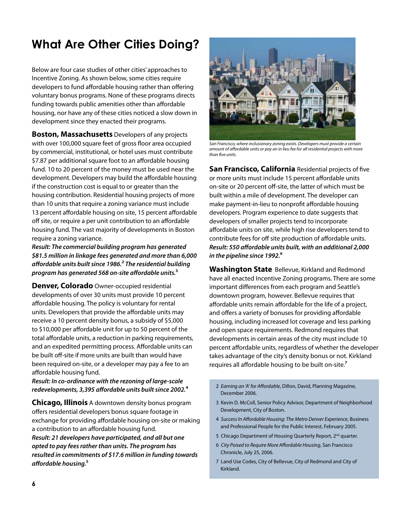## **What Are Other Cities Doing?**

Below are four case studies of other cities' approaches to Incentive Zoning. As shown below, some cities require developers to fund affordable housing rather than offering voluntary bonus programs. None of these programs directs funding towards public amenities other than affordable housing, nor have any of these cities noticed a slow down in development since they enacted their programs.

**Boston, Massachusetts** Developers of any projects with over 100,000 square feet of gross floor area occupied by commercial, institutional, or hotel uses must contribute \$7.87 per additional square foot to an affordable housing fund. 10 to 20 percent of the money must be used near the development. Developers may build the affordable housing if the construction cost is equal to or greater than the housing contribution. Residential housing projects of more than 10 units that require a zoning variance must include 13 percent affordable housing on site, 15 percent affordable off site, or require a per unit contribution to an affordable housing fund. The vast majority of developments in Boston require a zoning variance.

*Result: The commercial building program has generated \$81.5 million in linkage fees generated and more than 6,000 affordable units built since 1986.***²** *The residential building program has generated 568 on-site affordable units.***³**

**Denver, Colorado** Owner-occupied residential developments of over 30 units must provide 10 percent affordable housing. The policy is voluntary for rental units. Developers that provide the affordable units may receive a 10 percent density bonus, a subsidy of \$5,000 to \$10,000 per affordable unit for up to 50 percent of the total affordable units, a reduction in parking requirements, and an expedited permitting process. Affordable units can be built off-site if more units are built than would have been required on-site, or a developer may pay a fee to an affordable housing fund.

#### *Result: In co-ordinance with the rezoning of large-scale redevelopments, 3,395 affordable units built since 2002.***⁴**

**Chicago, Illinois** A downtown density bonus program offers residential developers bonus square footage in exchange for providing affordable housing on-site or making a contribution to an affordable housing fund. *Result: 21 developers have participated, and all but one opted to pay fees rather than units. The program has resulted in commitments of \$17.6 million in funding towards affordable housing.***⁵**



*San Francisco, where inclusionary zoning exists. Developers must provide a certain amount of affordable units or pay an in lieu fee for all residential projects with more than five units.*

**San Francisco, California** Residential projects of five or more units must include 15 percent affordable units on-site or 20 percent off-site, the latter of which must be built within a mile of development. The developer can make payment-in-lieu to nonprofit affordable housing developers. Program experience to date suggests that developers of smaller projects tend to incorporate affordable units on site, while high rise developers tend to contribute fees for off site production of affordable units. *Result: 550 affordable units built, with an additional 2,000 in the pipeline since 1992.***⁶**

**Washington State** Bellevue, Kirkland and Redmond have all enacted Incentive Zoning programs. There are some important differences from each program and Seattle's downtown program, however. Bellevue requires that affordable units remain affordable for the life of a project, and offers a variety of bonuses for providing affordable housing, including increased lot coverage and less parking and open space requirements. Redmond requires that developments in certain areas of the city must include 10 percent affordable units, regardless of whether the developer takes advantage of the city's density bonus or not. Kirkland requires all affordable housing to be built on-site.**⁷**

- 2 *Earning an 'A' for Affordable*, Dillon, David, Planning Magazine, December 2006.
- 3 Kevin D. McColl, Senior Policy Advisor, Department of Neighborhood Development, City of Boston.
- 4 *Success In Affordable Housing: The Metro Denver Experience*, Business and Professional People for the Public Interest, February 2005.
- 5 Chicago Department of Housing Quarterly Report, 2<sup>nd</sup> quarter.
- 6 *City Poised to Require More Affordable Housing*, San Francisco Chronicle, July 25, 2006.
- 7 Land Use Codes, City of Bellevue, City of Redmond and City of Kirkland.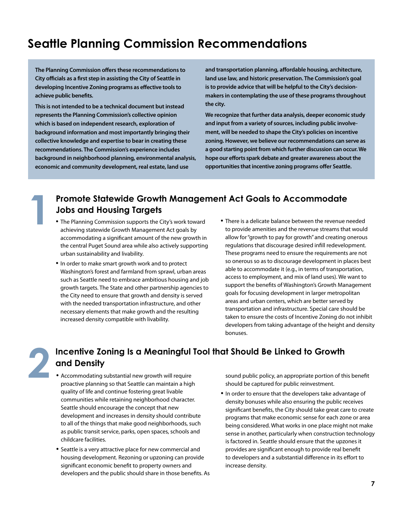## **Seattle Planning Commission Recommendations**

**The Planning Commission offers these recommendations to City officials as a first step in assisting the City of Seattle in developing Incentive Zoning programs as effective tools to achieve public benefits.** 

**This is not intended to be a technical document but instead represents the Planning Commission's collective opinion which is based on independent research, exploration of background information and most importantly bringing their collective knowledge and expertise to bear in creating these recommendations. The Commission's experience includes background in neighborhood planning, environmental analysis, economic and community development, real estate, land use** 

**and transportation planning, affordable housing, architecture, land use law, and historic preservation. The Commission's goal is to provide advice that will be helpful to the City's decisionmakers in contemplating the use of these programs throughout the city.** 

**We recognize that further data analysis, deeper economic study and input from a variety of sources, including public involvement, will be needed to shape the City's policies on incentive zoning. However, we believe our recommendations can serve as a good starting point from which further discussion can occur. We hope our efforts spark debate and greater awareness about the opportunities that incentive zoning programs offer Seattle.**

# **Promote Statewide Growth Management Act Goals to Accommodate**<br> **10bs and Housing Targets**<br>
• The Planning Commission supports the City's work toward<br> **10 There is a delicate balance between the revenue no provide amentiti**

- achieving statewide Growth Management Act goals by accommodating a significant amount of the new growth in the central Puget Sound area while also actively supporting urban sustainability and livability. • The Planning Commission supports the City's work toward
- In order to make smart growth work and to protect Washington's forest and farmland from sprawl, urban areas such as Seattle need to embrace ambitious housing and job growth targets. The State and other partnership agencies to the City need to ensure that growth and density is served with the needed transportation infrastructure, and other necessary elements that make growth and the resulting increased density compatible with livability.
- There is a delicate balance between the revenue needed to provide amenities and the revenue streams that would allow for "growth to pay for growth" and creating onerous regulations that discourage desired infill redevelopment. These programs need to ensure the requirements are not so onerous so as to discourage development in places best able to accommodate it (e.g., in terms of transportation, access to employment, and mix of land uses). We want to support the benefits of Washington's Growth Management goals for focusing development in larger metropolitan areas and urban centers, which are better served by transportation and infrastructure. Special care should be taken to ensure the costs of Incentive Zoning do not inhibit developers from taking advantage of the height and density bonuses.

## **2Incentive Zoning Is a Meaningful Tool that Should Be Linked to Growth and Density**

- Accommodating substantial new growth will require proactive planning so that Seattle can maintain a high quality of life and continue fostering great livable communities while retaining neighborhood character. Seattle should encourage the concept that new development and increases in density should contribute to all of the things that make good neighborhoods, such as public transit service, parks, open spaces, schools and childcare facilities.
- Seattle is a very attractive place for new commercial and housing development. Rezoning or upzoning can provide significant economic benefit to property owners and developers and the public should share in those benefits. As

sound public policy, an appropriate portion of this benefit should be captured for public reinvestment.

• In order to ensure that the developers take advantage of density bonuses while also ensuring the public receives significant benefits, the City should take great care to create programs that make economic sense for each zone or area being considered. What works in one place might not make sense in another, particularly when construction technology is factored in. Seattle should ensure that the upzones it provides are significant enough to provide real benefit to developers and a substantial difference in its effort to increase density.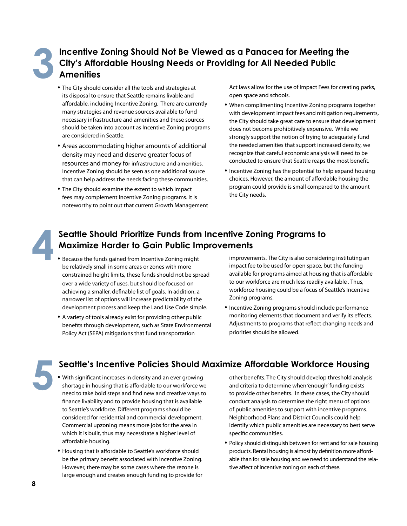## **Incentive Zoning Should Not Be Viewed as a Panacea for Meeting the City's Affordable Housing Needs or Providing for All Needed Public 3 Amenities**

- The City should consider all the tools and strategies at its disposal to ensure that Seattle remains livable and affordable, including Incentive Zoning. There are currently many strategies and revenue sources available to fund necessary infrastructure and amenities and these sources should be taken into account as Incentive Zoning programs are considered in Seattle.
- Areas accommodating higher amounts of additional density may need and deserve greater focus of resources and money for infrastructure and amenities. Incentive Zoning should be seen as one additional source that can help address the needs facing these communities.
- The City should examine the extent to which impact fees may complement Incentive Zoning programs. It is noteworthy to point out that current Growth Management

Act laws allow for the use of Impact Fees for creating parks, open space and schools.

- When complimenting Incentive Zoning programs together with development impact fees and mitigation requirements, the City should take great care to ensure that development does not become prohibitively expensive. While we strongly support the notion of trying to adequately fund the needed amenities that support increased density, we recognize that careful economic analysis will need to be conducted to ensure that Seattle reaps the most benefit.
- Incentive Zoning has the potential to help expand housing choices. However, the amount of affordable housing the program could provide is small compared to the amount the City needs.



#### **4Seattle Should Prioritize Funds from Incentive Zoning Programs to Maximize Harder to Gain Public Improvements**

- Because the funds gained from Incentive Zoning might be relatively small in some areas or zones with more constrained height limits, these funds should not be spread over a wide variety of uses, but should be focused on achieving a smaller, definable list of goals. In addition, a narrower list of options will increase predictability of the development process and keep the Land Use Code simple.
- A variety of tools already exist for providing other public benefits through development, such as State Environmental Policy Act (SEPA) mitigations that fund transportation

improvements. The City is also considering instituting an impact fee to be used for open space, but the funding available for programs aimed at housing that is affordable to our workforce are much less readily available . Thus, workforce housing could be a focus of Seattle's Incentive Zoning programs.

• Incentive Zoning programs should include performance monitoring elements that document and verify its effects. Adjustments to programs that reflect changing needs and priorities should be allowed.

## **5Seattle's Incentive Policies Should Maximize Affordable Workforce Housing**

- With significant increases in density and an ever growing shortage in housing that is affordable to our workforce we need to take bold steps and find new and creative ways to finance livability and to provide housing that is available to Seattle's workforce. Different programs should be considered for residential and commercial development. Commercial upzoning means more jobs for the area in which it is built, thus may necessitate a higher level of affordable housing.
- Housing that is affordable to Seattle's workforce should be the primary benefit associated with Incentive Zoning. However, there may be some cases where the rezone is large enough and creates enough funding to provide for

other benefits. The City should develop threshold analysis and criteria to determine when 'enough' funding exists to provide other benefits. In these cases, the City should conduct analysis to determine the right menu of options of public amenities to support with incentive programs. Neighborhood Plans and District Councils could help identify which public amenities are necessary to best serve specific communities.

• Policy should distinguish between for rent and for sale housing products. Rental housing is almost by definition more affordable than for sale housing and we need to understand the relative affect of incentive zoning on each of these.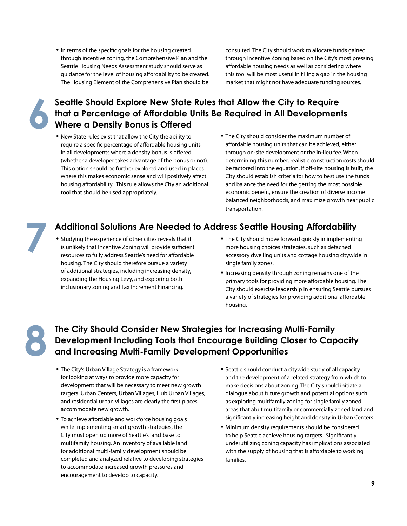• In terms of the specific goals for the housing created entity consulted. The City should work to allocate funds gained through incentive zoning, the Comprehensive Plan and the Seattle Housing Needs Assessment study should serve as guidance for the level of housing affordability to be created. The Housing Element of the Comprehensive Plan should be

through Incentive Zoning based on the City's most pressing affordable housing needs as well as considering where this tool will be most useful in filling a gap in the housing market that might not have adequate funding sources.

## **6Seattle Should Explore New State Rules that Allow the City to Require that a Percentage of Affordable Units Be Required in All Development Where a Density Bonus is Offered <br>• New State rules exist that allow the City t that a Percentage of Affordable Units Be Required in All Developments Where a Density Bonus is Offered**

- New State rules exist that allow the City the ability to **•** The City should consider the maximum number of require a specific percentage of affordable housing units in all developments where a density bonus is offered (whether a developer takes advantage of the bonus or not). This option should be further explored and used in places where this makes economic sense and will positively affect housing affordability. This rule allows the City an additional tool that should be used appropriately.
	- affordable housing units that can be achieved, either through on-site development or the in-lieu fee. When determining this number, realistic construction costs should be factored into the equation. If off-site housing is built, the City should establish criteria for how to best use the funds and balance the need for the getting the most possible economic benefit, ensure the creation of diverse income balanced neighborhoods, and maximize growth near public transportation. • The City should consider the maximum number of

## **7 Additional Solutions Are Needed to Address Seattle Housing Affordability**

- Studying the experience of other cities reveals that it is unlikely that Incentive Zoning will provide sufficient resources to fully address Seattle's need for affordable housing. The City should therefore pursue a variety of additional strategies, including increasing density, expanding the Housing Levy, and exploring both inclusionary zoning and Tax Increment Financing.
- Studying the experience of other cities reveals that it **•** The City should move forward quickly in implementing more housing choices strategies, such as detached accessory dwelling units and cottage housing citywide in single family zones.
	- Increasing density through zoning remains one of the primary tools for providing more affordable housing. The City should exercise leadership in ensuring Seattle pursues a variety of strategies for providing additional affordable housing.

## The City Should Consider New Strategies for Increasing Multi-Family<br>Development Including Tools that Encourage Building Closer to Cap<br>and Increasing Multi-Family Development Opportunities **Development Including Tools that Encourage Building Closer to Capacity and Increasing Multi-Family Development Opportunities**

- The City's Urban Village Strategy is a framework for looking at ways to provide more capacity for development that will be necessary to meet new growth targets. Urban Centers, Urban Villages, Hub Urban Villages, and residential urban villages are clearly the first places accommodate new growth.
- To achieve affordable and workforce housing goals while implementing smart growth strategies, the City must open up more of Seattle's land base to multifamily housing. An inventory of available land for additional multi-family development should be completed and analyzed relative to developing strategies to accommodate increased growth pressures and encouragement to develop to capacity.
- Seattle should conduct a citywide study of all capacity and the development of a related strategy from which to make decisions about zoning. The City should initiate a dialogue about future growth and potential options such as exploring multifamily zoning for single family zoned areas that abut multifamily or commercially zoned land and significantly increasing height and density in Urban Centers.
- Minimum density requirements should be considered to help Seattle achieve housing targets. Significantly underutilizing zoning capacity has implications associated with the supply of housing that is affordable to working families.